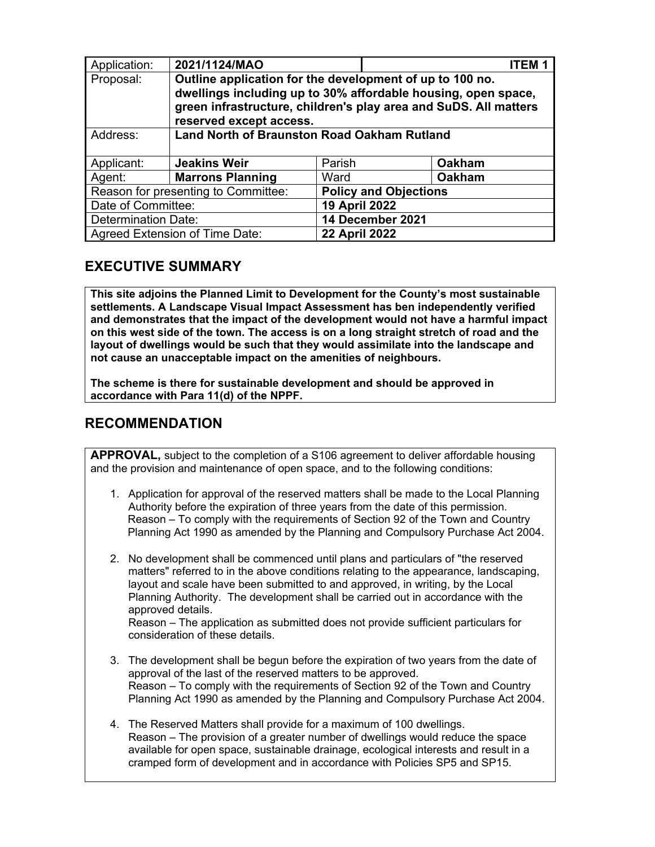| Application:                        | 2021/1124/MAO                                                                                                                                                                                                            |                              | <b>ITEM1</b>         |  |  |
|-------------------------------------|--------------------------------------------------------------------------------------------------------------------------------------------------------------------------------------------------------------------------|------------------------------|----------------------|--|--|
| Proposal:                           | Outline application for the development of up to 100 no.<br>dwellings including up to 30% affordable housing, open space,<br>green infrastructure, children's play area and SuDS. All matters<br>reserved except access. |                              |                      |  |  |
| Address:                            | <b>Land North of Braunston Road Oakham Rutland</b>                                                                                                                                                                       |                              |                      |  |  |
| Applicant:                          | <b>Jeakins Weir</b>                                                                                                                                                                                                      | Parish                       | <b>Oakham</b>        |  |  |
| Agent:                              | <b>Marrons Planning</b>                                                                                                                                                                                                  | Ward                         | <b>Oakham</b>        |  |  |
| Reason for presenting to Committee: |                                                                                                                                                                                                                          | <b>Policy and Objections</b> |                      |  |  |
| Date of Committee:                  |                                                                                                                                                                                                                          |                              | <b>19 April 2022</b> |  |  |
| <b>Determination Date:</b>          |                                                                                                                                                                                                                          |                              | 14 December 2021     |  |  |
| Agreed Extension of Time Date:      |                                                                                                                                                                                                                          |                              | <b>22 April 2022</b> |  |  |

# **EXECUTIVE SUMMARY**

**This site adjoins the Planned Limit to Development for the County's most sustainable settlements. A Landscape Visual Impact Assessment has ben independently verified and demonstrates that the impact of the development would not have a harmful impact on this west side of the town. The access is on a long straight stretch of road and the layout of dwellings would be such that they would assimilate into the landscape and not cause an unacceptable impact on the amenities of neighbours.** 

**The scheme is there for sustainable development and should be approved in accordance with Para 11(d) of the NPPF.** 

# **RECOMMENDATION**

**APPROVAL,** subject to the completion of a S106 agreement to deliver affordable housing and the provision and maintenance of open space, and to the following conditions:

- 1. Application for approval of the reserved matters shall be made to the Local Planning Authority before the expiration of three years from the date of this permission. Reason – To comply with the requirements of Section 92 of the Town and Country Planning Act 1990 as amended by the Planning and Compulsory Purchase Act 2004.
- 2. No development shall be commenced until plans and particulars of "the reserved matters" referred to in the above conditions relating to the appearance, landscaping, layout and scale have been submitted to and approved, in writing, by the Local Planning Authority. The development shall be carried out in accordance with the approved details.

Reason – The application as submitted does not provide sufficient particulars for consideration of these details.

- 3. The development shall be begun before the expiration of two years from the date of approval of the last of the reserved matters to be approved. Reason – To comply with the requirements of Section 92 of the Town and Country Planning Act 1990 as amended by the Planning and Compulsory Purchase Act 2004.
- 4. The Reserved Matters shall provide for a maximum of 100 dwellings. Reason – The provision of a greater number of dwellings would reduce the space available for open space, sustainable drainage, ecological interests and result in a cramped form of development and in accordance with Policies SP5 and SP15.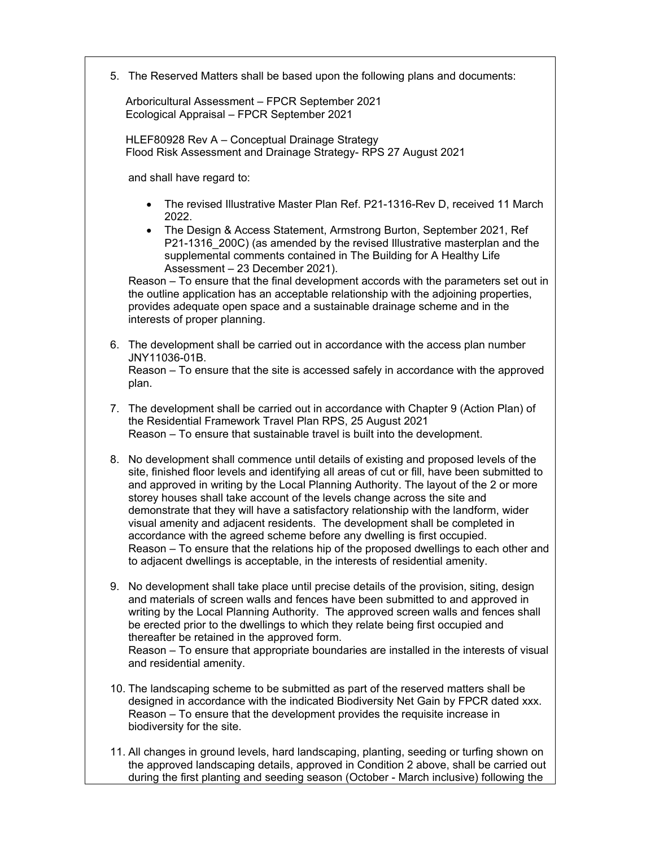5. The Reserved Matters shall be based upon the following plans and documents:

Arboricultural Assessment – FPCR September 2021 Ecological Appraisal – FPCR September 2021

HLEF80928 Rev A – Conceptual Drainage Strategy Flood Risk Assessment and Drainage Strategy- RPS 27 August 2021

and shall have regard to:

- The revised Illustrative Master Plan Ref. P21-1316-Rev D, received 11 March 2022.
- The Design & Access Statement, Armstrong Burton, September 2021, Ref P21-1316 200C) (as amended by the revised Illustrative masterplan and the supplemental comments contained in The Building for A Healthy Life Assessment – 23 December 2021).

Reason – To ensure that the final development accords with the parameters set out in the outline application has an acceptable relationship with the adjoining properties, provides adequate open space and a sustainable drainage scheme and in the interests of proper planning.

- 6. The development shall be carried out in accordance with the access plan number JNY11036-01B. Reason – To ensure that the site is accessed safely in accordance with the approved plan.
- 7. The development shall be carried out in accordance with Chapter 9 (Action Plan) of the Residential Framework Travel Plan RPS, 25 August 2021 Reason – To ensure that sustainable travel is built into the development.
- 8. No development shall commence until details of existing and proposed levels of the site, finished floor levels and identifying all areas of cut or fill, have been submitted to and approved in writing by the Local Planning Authority. The layout of the 2 or more storey houses shall take account of the levels change across the site and demonstrate that they will have a satisfactory relationship with the landform, wider visual amenity and adjacent residents. The development shall be completed in accordance with the agreed scheme before any dwelling is first occupied. Reason – To ensure that the relations hip of the proposed dwellings to each other and to adjacent dwellings is acceptable, in the interests of residential amenity.
- 9. No development shall take place until precise details of the provision, siting, design and materials of screen walls and fences have been submitted to and approved in writing by the Local Planning Authority. The approved screen walls and fences shall be erected prior to the dwellings to which they relate being first occupied and thereafter be retained in the approved form. Reason – To ensure that appropriate boundaries are installed in the interests of visual and residential amenity.
- 10. The landscaping scheme to be submitted as part of the reserved matters shall be designed in accordance with the indicated Biodiversity Net Gain by FPCR dated xxx. Reason – To ensure that the development provides the requisite increase in biodiversity for the site.
- 11. All changes in ground levels, hard landscaping, planting, seeding or turfing shown on the approved landscaping details, approved in Condition 2 above, shall be carried out during the first planting and seeding season (October - March inclusive) following the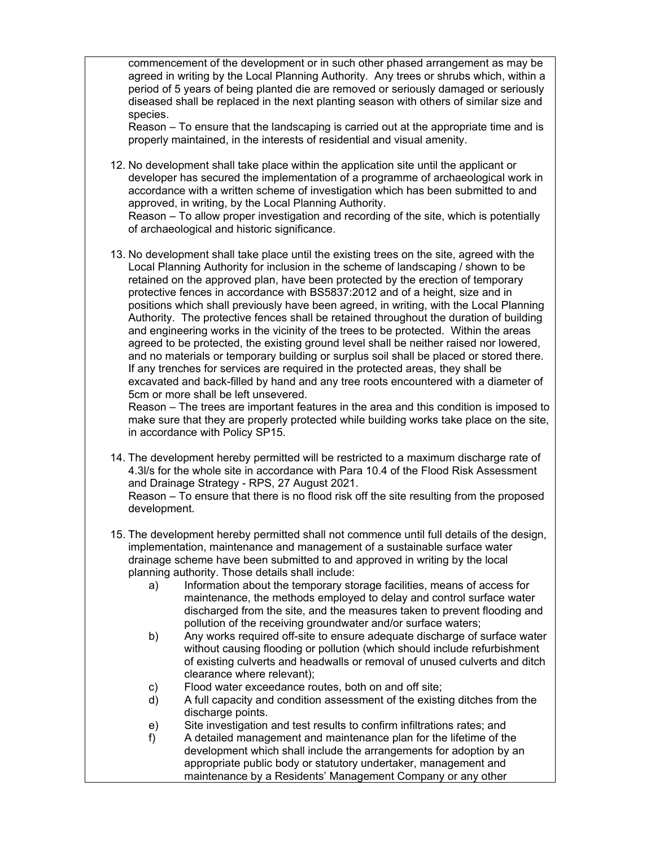commencement of the development or in such other phased arrangement as may be agreed in writing by the Local Planning Authority. Any trees or shrubs which, within a period of 5 years of being planted die are removed or seriously damaged or seriously diseased shall be replaced in the next planting season with others of similar size and species.

Reason – To ensure that the landscaping is carried out at the appropriate time and is properly maintained, in the interests of residential and visual amenity.

12. No development shall take place within the application site until the applicant or developer has secured the implementation of a programme of archaeological work in accordance with a written scheme of investigation which has been submitted to and approved, in writing, by the Local Planning Authority.

Reason – To allow proper investigation and recording of the site, which is potentially of archaeological and historic significance.

13. No development shall take place until the existing trees on the site, agreed with the Local Planning Authority for inclusion in the scheme of landscaping / shown to be retained on the approved plan, have been protected by the erection of temporary protective fences in accordance with BS5837:2012 and of a height, size and in positions which shall previously have been agreed, in writing, with the Local Planning Authority. The protective fences shall be retained throughout the duration of building and engineering works in the vicinity of the trees to be protected. Within the areas agreed to be protected, the existing ground level shall be neither raised nor lowered, and no materials or temporary building or surplus soil shall be placed or stored there. If any trenches for services are required in the protected areas, they shall be excavated and back-filled by hand and any tree roots encountered with a diameter of 5cm or more shall be left unsevered.

Reason – The trees are important features in the area and this condition is imposed to make sure that they are properly protected while building works take place on the site, in accordance with Policy SP15.

14. The development hereby permitted will be restricted to a maximum discharge rate of 4.3l/s for the whole site in accordance with Para 10.4 of the Flood Risk Assessment and Drainage Strategy - RPS, 27 August 2021.

Reason – To ensure that there is no flood risk off the site resulting from the proposed development.

- 15. The development hereby permitted shall not commence until full details of the design, implementation, maintenance and management of a sustainable surface water drainage scheme have been submitted to and approved in writing by the local planning authority. Those details shall include:
	- a) Information about the temporary storage facilities, means of access for maintenance, the methods employed to delay and control surface water discharged from the site, and the measures taken to prevent flooding and pollution of the receiving groundwater and/or surface waters;
	- b) Any works required off-site to ensure adequate discharge of surface water without causing flooding or pollution (which should include refurbishment of existing culverts and headwalls or removal of unused culverts and ditch clearance where relevant);
	- c) Flood water exceedance routes, both on and off site;
	- d) A full capacity and condition assessment of the existing ditches from the discharge points.
	- e) Site investigation and test results to confirm infiltrations rates; and
	- f) A detailed management and maintenance plan for the lifetime of the development which shall include the arrangements for adoption by an appropriate public body or statutory undertaker, management and maintenance by a Residents' Management Company or any other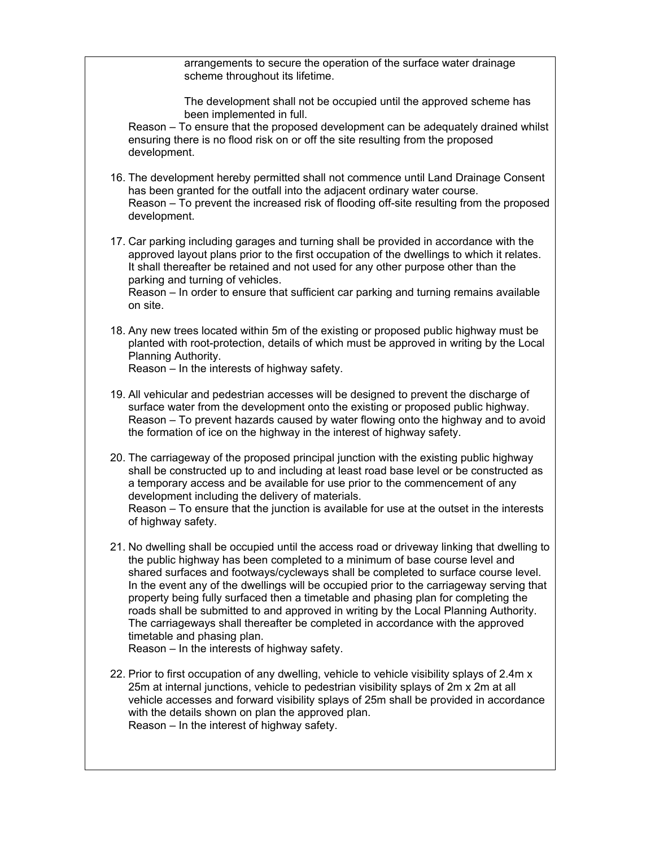arrangements to secure the operation of the surface water drainage scheme throughout its lifetime.

The development shall not be occupied until the approved scheme has been implemented in full.

Reason – To ensure that the proposed development can be adequately drained whilst ensuring there is no flood risk on or off the site resulting from the proposed development.

- 16. The development hereby permitted shall not commence until Land Drainage Consent has been granted for the outfall into the adjacent ordinary water course. Reason – To prevent the increased risk of flooding off-site resulting from the proposed development.
- 17. Car parking including garages and turning shall be provided in accordance with the approved layout plans prior to the first occupation of the dwellings to which it relates. It shall thereafter be retained and not used for any other purpose other than the parking and turning of vehicles. Reason – In order to ensure that sufficient car parking and turning remains available on site.
- 18. Any new trees located within 5m of the existing or proposed public highway must be planted with root-protection, details of which must be approved in writing by the Local Planning Authority.

Reason – In the interests of highway safety.

- 19. All vehicular and pedestrian accesses will be designed to prevent the discharge of surface water from the development onto the existing or proposed public highway. Reason – To prevent hazards caused by water flowing onto the highway and to avoid the formation of ice on the highway in the interest of highway safety.
- 20. The carriageway of the proposed principal junction with the existing public highway shall be constructed up to and including at least road base level or be constructed as a temporary access and be available for use prior to the commencement of any development including the delivery of materials. Reason – To ensure that the junction is available for use at the outset in the interests of highway safety.
- 21. No dwelling shall be occupied until the access road or driveway linking that dwelling to the public highway has been completed to a minimum of base course level and shared surfaces and footways/cycleways shall be completed to surface course level. In the event any of the dwellings will be occupied prior to the carriageway serving that property being fully surfaced then a timetable and phasing plan for completing the roads shall be submitted to and approved in writing by the Local Planning Authority. The carriageways shall thereafter be completed in accordance with the approved timetable and phasing plan.

Reason – In the interests of highway safety.

22. Prior to first occupation of any dwelling, vehicle to vehicle visibility splays of 2.4m x 25m at internal junctions, vehicle to pedestrian visibility splays of 2m x 2m at all vehicle accesses and forward visibility splays of 25m shall be provided in accordance with the details shown on plan the approved plan. Reason – In the interest of highway safety.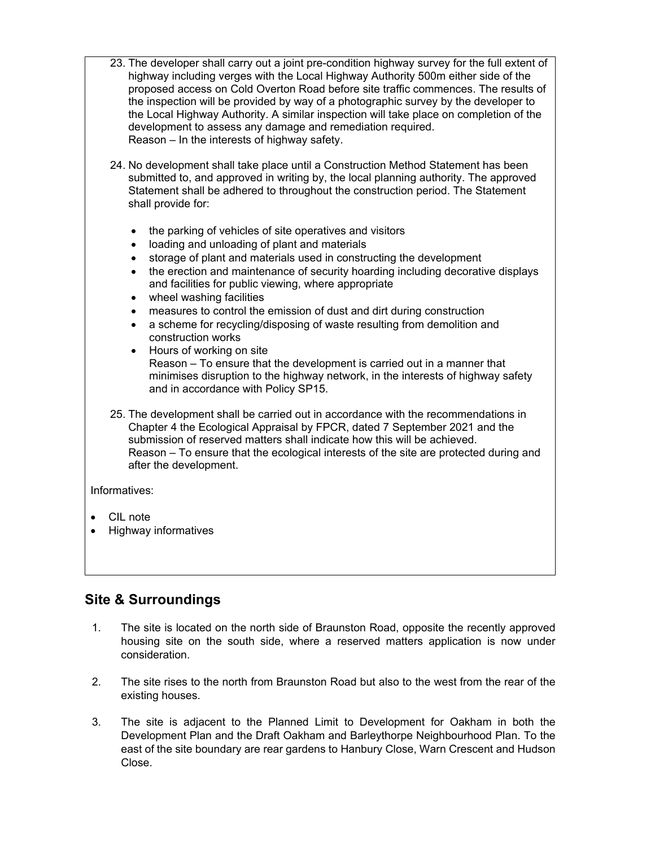- 23. The developer shall carry out a joint pre-condition highway survey for the full extent of highway including verges with the Local Highway Authority 500m either side of the proposed access on Cold Overton Road before site traffic commences. The results of the inspection will be provided by way of a photographic survey by the developer to the Local Highway Authority. A similar inspection will take place on completion of the development to assess any damage and remediation required. Reason – In the interests of highway safety.
- 24. No development shall take place until a Construction Method Statement has been submitted to, and approved in writing by, the local planning authority. The approved Statement shall be adhered to throughout the construction period. The Statement shall provide for:
	- the parking of vehicles of site operatives and visitors
	- loading and unloading of plant and materials
	- storage of plant and materials used in constructing the development
	- the erection and maintenance of security hoarding including decorative displays and facilities for public viewing, where appropriate
	- wheel washing facilities
	- measures to control the emission of dust and dirt during construction
	- a scheme for recycling/disposing of waste resulting from demolition and construction works
	- Hours of working on site
	- Reason To ensure that the development is carried out in a manner that minimises disruption to the highway network, in the interests of highway safety and in accordance with Policy SP15.
- 25. The development shall be carried out in accordance with the recommendations in Chapter 4 the Ecological Appraisal by FPCR, dated 7 September 2021 and the submission of reserved matters shall indicate how this will be achieved. Reason – To ensure that the ecological interests of the site are protected during and after the development.

Informatives:

- CIL note
- Highway informatives

## **Site & Surroundings**

- 1. The site is located on the north side of Braunston Road, opposite the recently approved housing site on the south side, where a reserved matters application is now under consideration.
- 2. The site rises to the north from Braunston Road but also to the west from the rear of the existing houses.
- 3. The site is adjacent to the Planned Limit to Development for Oakham in both the Development Plan and the Draft Oakham and Barleythorpe Neighbourhood Plan. To the east of the site boundary are rear gardens to Hanbury Close, Warn Crescent and Hudson Close.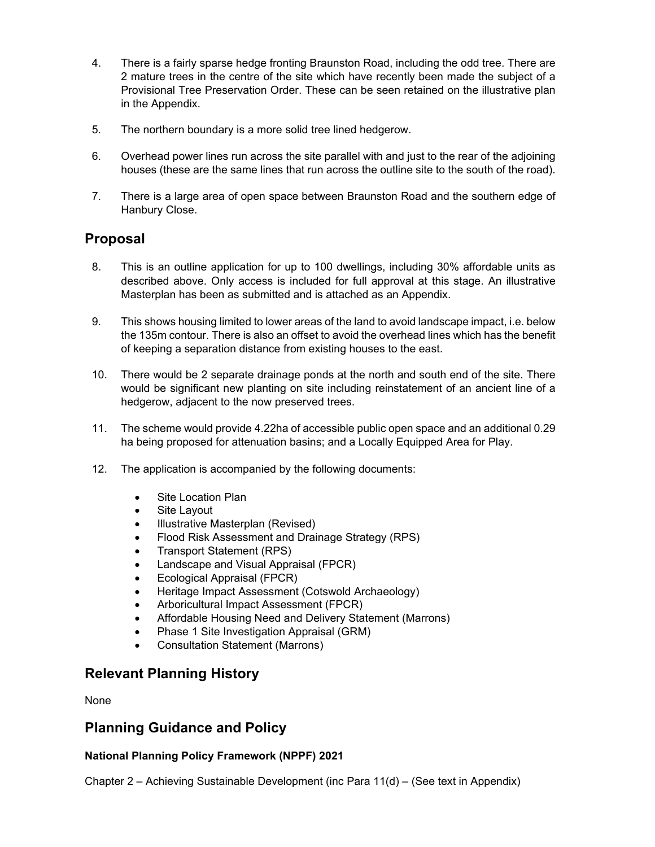- 4. There is a fairly sparse hedge fronting Braunston Road, including the odd tree. There are 2 mature trees in the centre of the site which have recently been made the subject of a Provisional Tree Preservation Order. These can be seen retained on the illustrative plan in the Appendix.
- 5. The northern boundary is a more solid tree lined hedgerow.
- 6. Overhead power lines run across the site parallel with and just to the rear of the adjoining houses (these are the same lines that run across the outline site to the south of the road).
- 7. There is a large area of open space between Braunston Road and the southern edge of Hanbury Close.

## **Proposal**

- 8. This is an outline application for up to 100 dwellings, including 30% affordable units as described above. Only access is included for full approval at this stage. An illustrative Masterplan has been as submitted and is attached as an Appendix.
- 9. This shows housing limited to lower areas of the land to avoid landscape impact, i.e. below the 135m contour. There is also an offset to avoid the overhead lines which has the benefit of keeping a separation distance from existing houses to the east.
- 10. There would be 2 separate drainage ponds at the north and south end of the site. There would be significant new planting on site including reinstatement of an ancient line of a hedgerow, adjacent to the now preserved trees.
- 11. The scheme would provide 4.22ha of accessible public open space and an additional 0.29 ha being proposed for attenuation basins; and a Locally Equipped Area for Play.
- 12. The application is accompanied by the following documents:
	- Site Location Plan
	- Site Lavout
	- Illustrative Masterplan (Revised)
	- Flood Risk Assessment and Drainage Strategy (RPS)
	- Transport Statement (RPS)
	- Landscape and Visual Appraisal (FPCR)
	- Ecological Appraisal (FPCR)
	- Heritage Impact Assessment (Cotswold Archaeology)
	- Arboricultural Impact Assessment (FPCR)
	- Affordable Housing Need and Delivery Statement (Marrons)
	- Phase 1 Site Investigation Appraisal (GRM)
	- Consultation Statement (Marrons)

## **Relevant Planning History**

None

## **Planning Guidance and Policy**

### **National Planning Policy Framework (NPPF) 2021**

Chapter 2 – Achieving Sustainable Development (inc Para 11(d) – (See text in Appendix)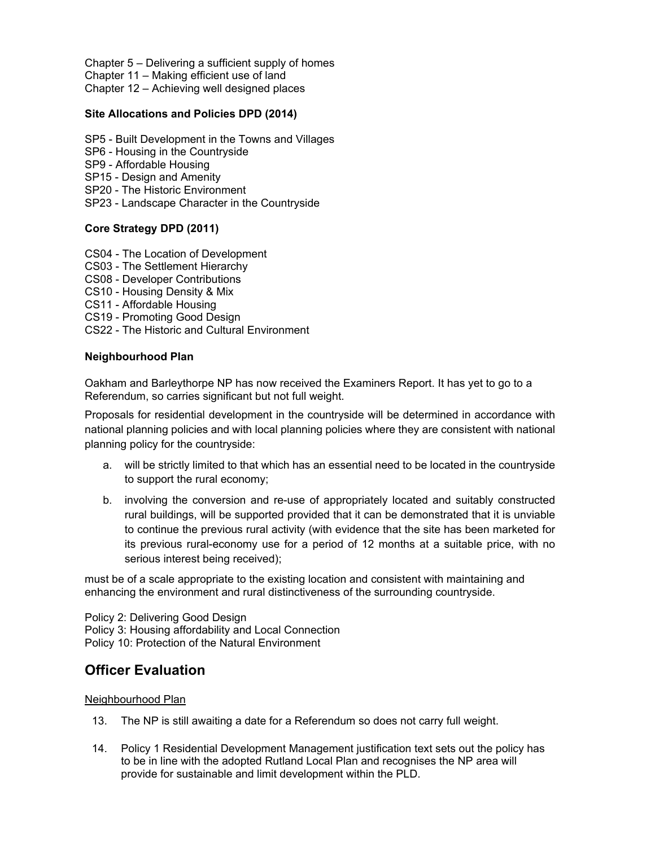Chapter 5 – Delivering a sufficient supply of homes

Chapter 11 – Making efficient use of land

Chapter 12 – Achieving well designed places

#### **Site Allocations and Policies DPD (2014)**

- SP5 Built Development in the Towns and Villages
- SP6 Housing in the Countryside
- SP9 Affordable Housing
- SP15 Design and Amenity
- SP20 The Historic Environment
- SP23 Landscape Character in the Countryside

#### **Core Strategy DPD (2011)**

- CS04 The Location of Development
- CS03 The Settlement Hierarchy
- CS08 Developer Contributions
- CS10 Housing Density & Mix
- CS11 Affordable Housing
- CS19 Promoting Good Design
- CS22 The Historic and Cultural Environment

#### **Neighbourhood Plan**

Oakham and Barleythorpe NP has now received the Examiners Report. It has yet to go to a Referendum, so carries significant but not full weight.

Proposals for residential development in the countryside will be determined in accordance with national planning policies and with local planning policies where they are consistent with national planning policy for the countryside:

- a. will be strictly limited to that which has an essential need to be located in the countryside to support the rural economy;
- b. involving the conversion and re-use of appropriately located and suitably constructed rural buildings, will be supported provided that it can be demonstrated that it is unviable to continue the previous rural activity (with evidence that the site has been marketed for its previous rural-economy use for a period of 12 months at a suitable price, with no serious interest being received);

must be of a scale appropriate to the existing location and consistent with maintaining and enhancing the environment and rural distinctiveness of the surrounding countryside.

Policy 2: Delivering Good Design Policy 3: Housing affordability and Local Connection Policy 10: Protection of the Natural Environment

## **Officer Evaluation**

#### Neighbourhood Plan

- 13. The NP is still awaiting a date for a Referendum so does not carry full weight.
- 14. Policy 1 Residential Development Management justification text sets out the policy has to be in line with the adopted Rutland Local Plan and recognises the NP area will provide for sustainable and limit development within the PLD.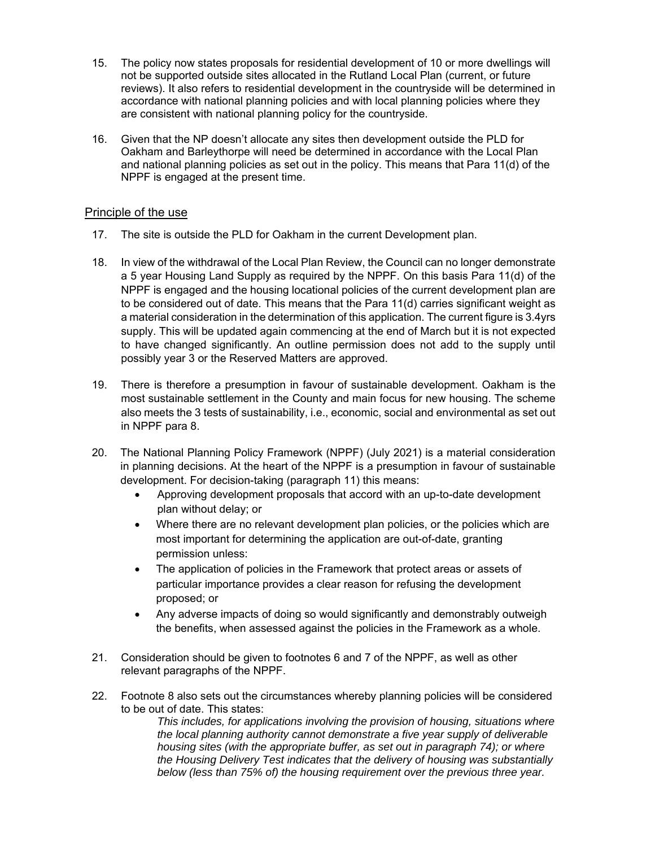- 15. The policy now states proposals for residential development of 10 or more dwellings will not be supported outside sites allocated in the Rutland Local Plan (current, or future reviews). It also refers to residential development in the countryside will be determined in accordance with national planning policies and with local planning policies where they are consistent with national planning policy for the countryside.
- 16. Given that the NP doesn't allocate any sites then development outside the PLD for Oakham and Barleythorpe will need be determined in accordance with the Local Plan and national planning policies as set out in the policy. This means that Para 11(d) of the NPPF is engaged at the present time.

### Principle of the use

- 17. The site is outside the PLD for Oakham in the current Development plan.
- 18. In view of the withdrawal of the Local Plan Review, the Council can no longer demonstrate a 5 year Housing Land Supply as required by the NPPF. On this basis Para 11(d) of the NPPF is engaged and the housing locational policies of the current development plan are to be considered out of date. This means that the Para 11(d) carries significant weight as a material consideration in the determination of this application. The current figure is 3.4yrs supply. This will be updated again commencing at the end of March but it is not expected to have changed significantly. An outline permission does not add to the supply until possibly year 3 or the Reserved Matters are approved.
- 19. There is therefore a presumption in favour of sustainable development. Oakham is the most sustainable settlement in the County and main focus for new housing. The scheme also meets the 3 tests of sustainability, i.e., economic, social and environmental as set out in NPPF para 8.
- 20. The National Planning Policy Framework (NPPF) (July 2021) is a material consideration in planning decisions. At the heart of the NPPF is a presumption in favour of sustainable development. For decision-taking (paragraph 11) this means:
	- Approving development proposals that accord with an up-to-date development plan without delay; or
	- Where there are no relevant development plan policies, or the policies which are most important for determining the application are out-of-date, granting permission unless:
	- The application of policies in the Framework that protect areas or assets of particular importance provides a clear reason for refusing the development proposed; or
	- Any adverse impacts of doing so would significantly and demonstrably outweigh the benefits, when assessed against the policies in the Framework as a whole.
- 21. Consideration should be given to footnotes 6 and 7 of the NPPF, as well as other relevant paragraphs of the NPPF.
- 22. Footnote 8 also sets out the circumstances whereby planning policies will be considered to be out of date. This states:

*This includes, for applications involving the provision of housing, situations where the local planning authority cannot demonstrate a five year supply of deliverable housing sites (with the appropriate buffer, as set out in paragraph 74); or where the Housing Delivery Test indicates that the delivery of housing was substantially below (less than 75% of) the housing requirement over the previous three year.*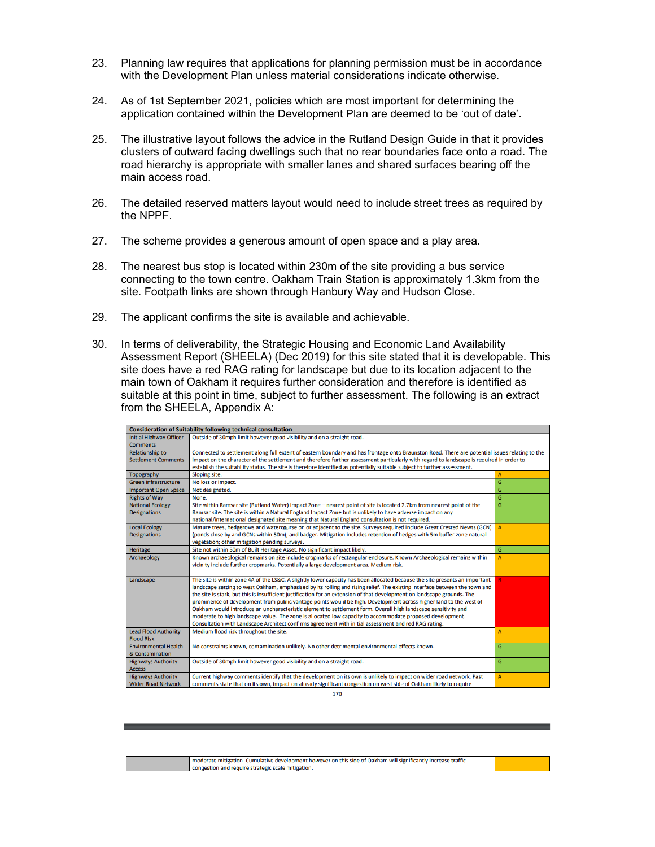- 23. Planning law requires that applications for planning permission must be in accordance with the Development Plan unless material considerations indicate otherwise.
- 24. As of 1st September 2021, policies which are most important for determining the application contained within the Development Plan are deemed to be 'out of date'.
- 25. The illustrative layout follows the advice in the Rutland Design Guide in that it provides clusters of outward facing dwellings such that no rear boundaries face onto a road. The road hierarchy is appropriate with smaller lanes and shared surfaces bearing off the main access road.
- 26. The detailed reserved matters layout would need to include street trees as required by the NPPF.
- 27. The scheme provides a generous amount of open space and a play area.
- 28. The nearest bus stop is located within 230m of the site providing a bus service connecting to the town centre. Oakham Train Station is approximately 1.3km from the site. Footpath links are shown through Hanbury Way and Hudson Close.
- 29. The applicant confirms the site is available and achievable.
- 30. In terms of deliverability, the Strategic Housing and Economic Land Availability Assessment Report (SHEELA) (Dec 2019) for this site stated that it is developable. This site does have a red RAG rating for landscape but due to its location adjacent to the main town of Oakham it requires further consideration and therefore is identified as suitable at this point in time, subject to further assessment. The following is an extract from the SHEELA, Appendix A:

| <b>Consideration of Suitability following technical consultation</b> |                                                                                                                                                |              |  |  |  |
|----------------------------------------------------------------------|------------------------------------------------------------------------------------------------------------------------------------------------|--------------|--|--|--|
| <b>Initial Highway Officer</b>                                       | Outside of 30mph limit however good visibility and on a straight road.                                                                         |              |  |  |  |
| <b>Comments</b>                                                      |                                                                                                                                                |              |  |  |  |
| <b>Relationship to</b>                                               | Connected to settlement along full extent of eastern boundary and has frontage onto Braunston Road. There are potential issues relating to the |              |  |  |  |
| <b>Settlement Comments</b>                                           | impact on the character of the settlement and therefore further assessment particularly with regard to landscape is required in order to       |              |  |  |  |
|                                                                      | establish the suitability status. The site is therefore identified as potentially suitable subject to further assessment.                      |              |  |  |  |
| Topography                                                           | Sloping site.                                                                                                                                  | А            |  |  |  |
| <b>Green Infrastructure</b>                                          | No loss or impact.                                                                                                                             | G            |  |  |  |
| <b>Important Open Space</b>                                          | Not designated.                                                                                                                                | G            |  |  |  |
| <b>Rights of Way</b>                                                 | None.                                                                                                                                          | G            |  |  |  |
| <b>National Ecology</b>                                              | Site within Ramsar site (Rutland Water) impact Zone - nearest point of site is located 2.7km from nearest point of the                         | G            |  |  |  |
| <b>Designations</b>                                                  | Ramsar site. The site is within a Natural England Impact Zone but is unlikely to have adverse impact on any                                    |              |  |  |  |
|                                                                      | national/international designated site meaning that Natural England consultation is not required.                                              |              |  |  |  |
| <b>Local Ecology</b>                                                 | Mature trees, hedgerows and watercourse on or adjacent to the site. Surveys required include Great Crested Newts (GCN)                         | $\mathsf{A}$ |  |  |  |
| <b>Designations</b>                                                  | (ponds close by and GCNs within 50m); and badger. Mitigation includes retention of hedges with 5m buffer zone natural                          |              |  |  |  |
|                                                                      | vegetation; other mitigation pending surveys.                                                                                                  |              |  |  |  |
| <b>Heritage</b>                                                      | Site not within 50m of Built Heritage Asset. No significant impact likely.                                                                     | G            |  |  |  |
| Archaeology                                                          | Known archaeological remains on site include cropmarks of rectangular enclosure. Known Archaeological remains within                           | A            |  |  |  |
|                                                                      | vicinity include further cropmarks. Potentially a large development area. Medium risk.                                                         |              |  |  |  |
|                                                                      |                                                                                                                                                |              |  |  |  |
| Landscape                                                            | The site is within zone 4A of the LS&C. A slightly lower capacity has been allocated because the site presents an important                    | R.           |  |  |  |
|                                                                      | landscape setting to west Oakham, emphasised by its rolling and rising relief. The existing interface between the town and                     |              |  |  |  |
|                                                                      | the site is stark, but this is insufficient justification for an extension of that development on landscape grounds. The                       |              |  |  |  |
|                                                                      | prominence of development from public vantage points would be high. Development across higher land to the west of                              |              |  |  |  |
|                                                                      | Oakham would introduce an uncharacteristic element to settlement form. Overall high landscape sensitivity and                                  |              |  |  |  |
|                                                                      | moderate to high landscape value. The zone is allocated low capacity to accommodate proposed development.                                      |              |  |  |  |
|                                                                      | Consultation with Landscape Architect confirms agreement with initial assessment and red RAG rating.                                           |              |  |  |  |
| <b>Lead Flood Authority</b>                                          | Medium flood risk throughout the site.                                                                                                         | A            |  |  |  |
| <b>Flood Risk</b>                                                    |                                                                                                                                                |              |  |  |  |
| <b>Environmental Health</b>                                          | No constraints known, contamination unlikely. No other detrimental environmental effects known.                                                | G            |  |  |  |
| & Contamination                                                      |                                                                                                                                                |              |  |  |  |
| <b>Highways Authority:</b>                                           | Outside of 30mph limit however good visibility and on a straight road.                                                                         | G            |  |  |  |
| <b>Access</b>                                                        |                                                                                                                                                |              |  |  |  |
| <b>Highways Authority:</b>                                           | Current highway comments identify that the development on its own is unlikely to impact on wider road network. Past                            | A            |  |  |  |
| <b>Wider Road Network</b>                                            | comments state that on its own, impact on already significant congestion on west side of Oakham likely to require                              |              |  |  |  |

170

| moderate mitigation. Cumulative development however on this side of Oakham will significantly increase traffic |  |
|----------------------------------------------------------------------------------------------------------------|--|
| congestion and require strategic scale mitigation.                                                             |  |
|                                                                                                                |  |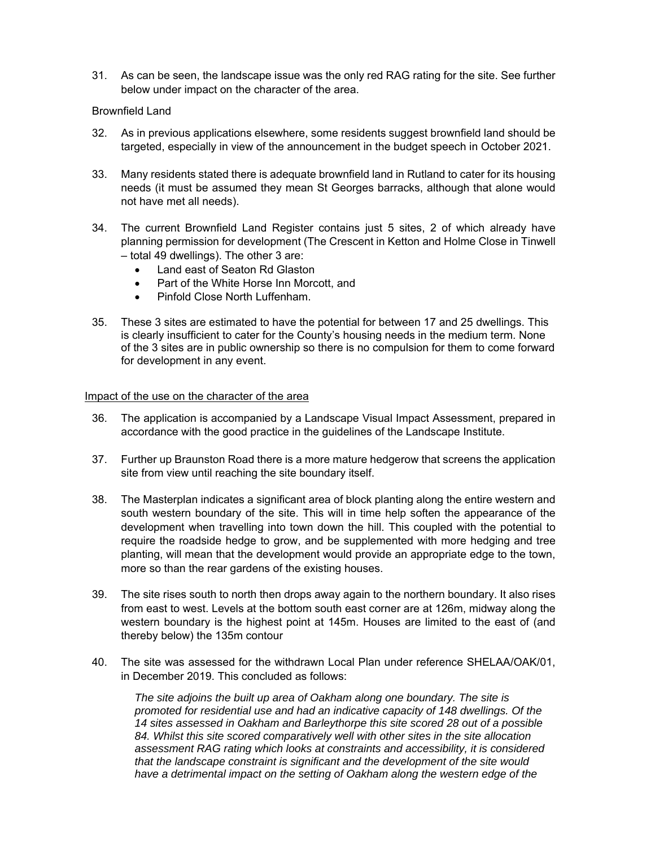31. As can be seen, the landscape issue was the only red RAG rating for the site. See further below under impact on the character of the area.

#### Brownfield Land

- 32. As in previous applications elsewhere, some residents suggest brownfield land should be targeted, especially in view of the announcement in the budget speech in October 2021.
- 33. Many residents stated there is adequate brownfield land in Rutland to cater for its housing needs (it must be assumed they mean St Georges barracks, although that alone would not have met all needs).
- 34. The current Brownfield Land Register contains just 5 sites, 2 of which already have planning permission for development (The Crescent in Ketton and Holme Close in Tinwell – total 49 dwellings). The other 3 are:
	- Land east of Seaton Rd Glaston
	- Part of the White Horse Inn Morcott, and
	- Pinfold Close North Luffenham.
- 35. These 3 sites are estimated to have the potential for between 17 and 25 dwellings. This is clearly insufficient to cater for the County's housing needs in the medium term. None of the 3 sites are in public ownership so there is no compulsion for them to come forward for development in any event.

#### Impact of the use on the character of the area

- 36. The application is accompanied by a Landscape Visual Impact Assessment, prepared in accordance with the good practice in the guidelines of the Landscape Institute.
- 37. Further up Braunston Road there is a more mature hedgerow that screens the application site from view until reaching the site boundary itself.
- 38. The Masterplan indicates a significant area of block planting along the entire western and south western boundary of the site. This will in time help soften the appearance of the development when travelling into town down the hill. This coupled with the potential to require the roadside hedge to grow, and be supplemented with more hedging and tree planting, will mean that the development would provide an appropriate edge to the town, more so than the rear gardens of the existing houses.
- 39. The site rises south to north then drops away again to the northern boundary. It also rises from east to west. Levels at the bottom south east corner are at 126m, midway along the western boundary is the highest point at 145m. Houses are limited to the east of (and thereby below) the 135m contour
- 40. The site was assessed for the withdrawn Local Plan under reference SHELAA/OAK/01, in December 2019. This concluded as follows:

*The site adjoins the built up area of Oakham along one boundary. The site is promoted for residential use and had an indicative capacity of 148 dwellings. Of the 14 sites assessed in Oakham and Barleythorpe this site scored 28 out of a possible 84. Whilst this site scored comparatively well with other sites in the site allocation assessment RAG rating which looks at constraints and accessibility, it is considered that the landscape constraint is significant and the development of the site would*  have a detrimental impact on the setting of Oakham along the western edge of the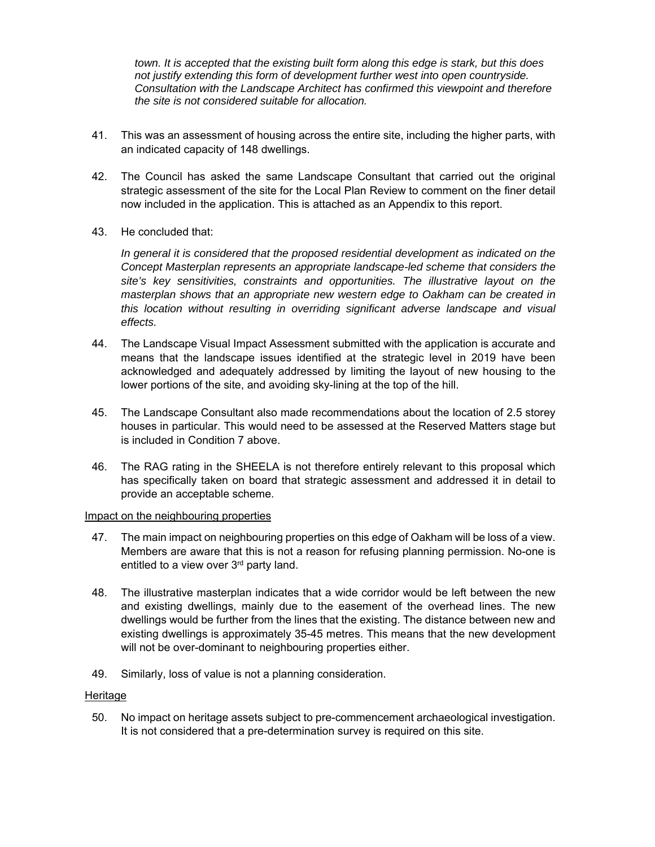*town. It is accepted that the existing built form along this edge is stark, but this does not justify extending this form of development further west into open countryside. Consultation with the Landscape Architect has confirmed this viewpoint and therefore the site is not considered suitable for allocation.* 

- 41. This was an assessment of housing across the entire site, including the higher parts, with an indicated capacity of 148 dwellings.
- 42. The Council has asked the same Landscape Consultant that carried out the original strategic assessment of the site for the Local Plan Review to comment on the finer detail now included in the application. This is attached as an Appendix to this report.
- 43. He concluded that:

*In general it is considered that the proposed residential development as indicated on the Concept Masterplan represents an appropriate landscape-led scheme that considers the site's key sensitivities, constraints and opportunities. The illustrative layout on the masterplan shows that an appropriate new western edge to Oakham can be created in this location without resulting in overriding significant adverse landscape and visual effects.* 

- 44. The Landscape Visual Impact Assessment submitted with the application is accurate and means that the landscape issues identified at the strategic level in 2019 have been acknowledged and adequately addressed by limiting the layout of new housing to the lower portions of the site, and avoiding sky-lining at the top of the hill.
- 45. The Landscape Consultant also made recommendations about the location of 2.5 storey houses in particular. This would need to be assessed at the Reserved Matters stage but is included in Condition 7 above.
- 46. The RAG rating in the SHEELA is not therefore entirely relevant to this proposal which has specifically taken on board that strategic assessment and addressed it in detail to provide an acceptable scheme.

#### Impact on the neighbouring properties

- 47. The main impact on neighbouring properties on this edge of Oakham will be loss of a view. Members are aware that this is not a reason for refusing planning permission. No-one is entitled to a view over 3rd party land.
- 48. The illustrative masterplan indicates that a wide corridor would be left between the new and existing dwellings, mainly due to the easement of the overhead lines. The new dwellings would be further from the lines that the existing. The distance between new and existing dwellings is approximately 35-45 metres. This means that the new development will not be over-dominant to neighbouring properties either.
- 49. Similarly, loss of value is not a planning consideration.

#### **Heritage**

50. No impact on heritage assets subject to pre-commencement archaeological investigation. It is not considered that a pre-determination survey is required on this site.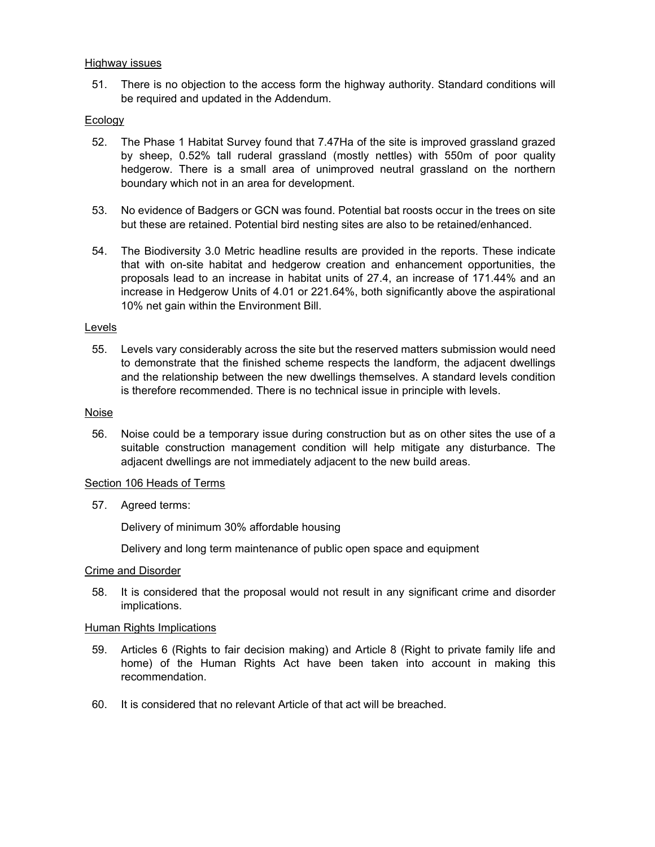#### Highway issues

51. There is no objection to the access form the highway authority. Standard conditions will be required and updated in the Addendum.

### Ecology

- 52. The Phase 1 Habitat Survey found that 7.47Ha of the site is improved grassland grazed by sheep, 0.52% tall ruderal grassland (mostly nettles) with 550m of poor quality hedgerow. There is a small area of unimproved neutral grassland on the northern boundary which not in an area for development.
- 53. No evidence of Badgers or GCN was found. Potential bat roosts occur in the trees on site but these are retained. Potential bird nesting sites are also to be retained/enhanced.
- 54. The Biodiversity 3.0 Metric headline results are provided in the reports. These indicate that with on-site habitat and hedgerow creation and enhancement opportunities, the proposals lead to an increase in habitat units of 27.4, an increase of 171.44% and an increase in Hedgerow Units of 4.01 or 221.64%, both significantly above the aspirational 10% net gain within the Environment Bill.

#### Levels

55. Levels vary considerably across the site but the reserved matters submission would need to demonstrate that the finished scheme respects the landform, the adjacent dwellings and the relationship between the new dwellings themselves. A standard levels condition is therefore recommended. There is no technical issue in principle with levels.

#### Noise

56. Noise could be a temporary issue during construction but as on other sites the use of a suitable construction management condition will help mitigate any disturbance. The adjacent dwellings are not immediately adjacent to the new build areas.

#### Section 106 Heads of Terms

57. Agreed terms:

Delivery of minimum 30% affordable housing

Delivery and long term maintenance of public open space and equipment

#### Crime and Disorder

58. It is considered that the proposal would not result in any significant crime and disorder implications.

#### **Human Rights Implications**

- 59. Articles 6 (Rights to fair decision making) and Article 8 (Right to private family life and home) of the Human Rights Act have been taken into account in making this recommendation.
- 60. It is considered that no relevant Article of that act will be breached.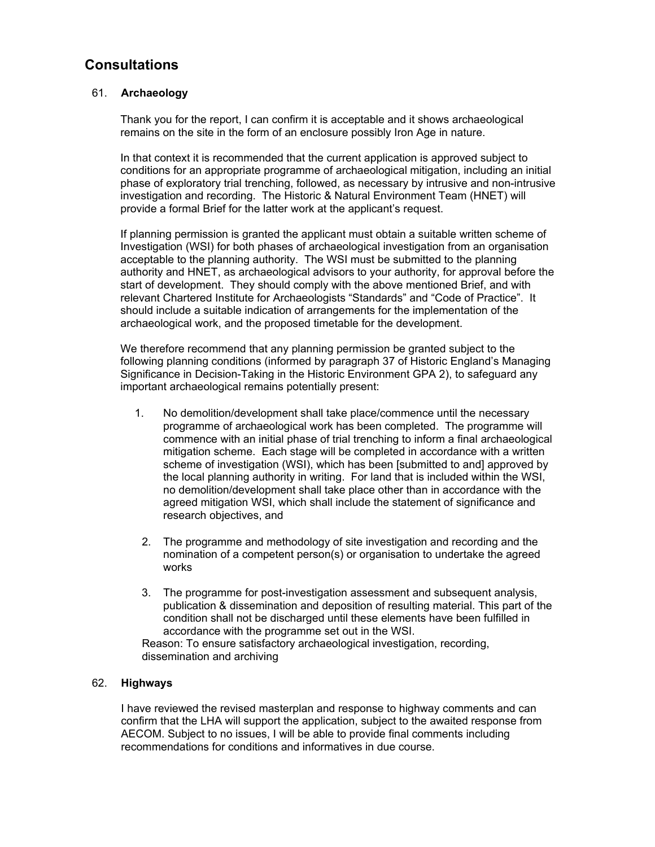## **Consultations**

### 61. **Archaeology**

Thank you for the report, I can confirm it is acceptable and it shows archaeological remains on the site in the form of an enclosure possibly Iron Age in nature.

In that context it is recommended that the current application is approved subject to conditions for an appropriate programme of archaeological mitigation, including an initial phase of exploratory trial trenching, followed, as necessary by intrusive and non-intrusive investigation and recording. The Historic & Natural Environment Team (HNET) will provide a formal Brief for the latter work at the applicant's request.

If planning permission is granted the applicant must obtain a suitable written scheme of Investigation (WSI) for both phases of archaeological investigation from an organisation acceptable to the planning authority. The WSI must be submitted to the planning authority and HNET, as archaeological advisors to your authority, for approval before the start of development. They should comply with the above mentioned Brief, and with relevant Chartered Institute for Archaeologists "Standards" and "Code of Practice". It should include a suitable indication of arrangements for the implementation of the archaeological work, and the proposed timetable for the development.

We therefore recommend that any planning permission be granted subject to the following planning conditions (informed by paragraph 37 of Historic England's Managing Significance in Decision-Taking in the Historic Environment GPA 2), to safeguard any important archaeological remains potentially present:

- 1. No demolition/development shall take place/commence until the necessary programme of archaeological work has been completed. The programme will commence with an initial phase of trial trenching to inform a final archaeological mitigation scheme. Each stage will be completed in accordance with a written scheme of investigation (WSI), which has been [submitted to and] approved by the local planning authority in writing. For land that is included within the WSI, no demolition/development shall take place other than in accordance with the agreed mitigation WSI, which shall include the statement of significance and research objectives, and
- 2. The programme and methodology of site investigation and recording and the nomination of a competent person(s) or organisation to undertake the agreed works
- 3. The programme for post-investigation assessment and subsequent analysis, publication & dissemination and deposition of resulting material. This part of the condition shall not be discharged until these elements have been fulfilled in accordance with the programme set out in the WSI.

Reason: To ensure satisfactory archaeological investigation, recording, dissemination and archiving

### 62. **Highways**

I have reviewed the revised masterplan and response to highway comments and can confirm that the LHA will support the application, subject to the awaited response from AECOM. Subject to no issues, I will be able to provide final comments including recommendations for conditions and informatives in due course.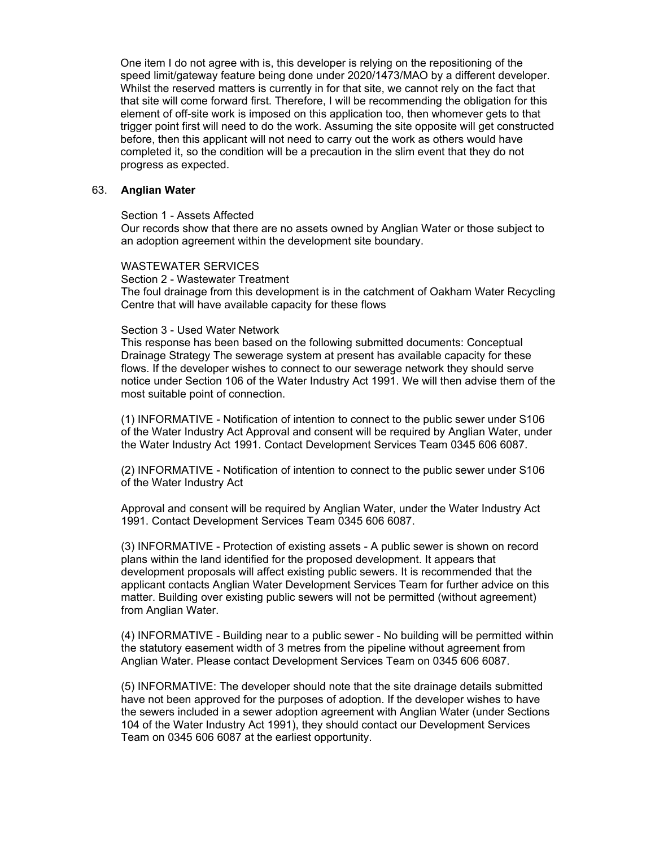One item I do not agree with is, this developer is relying on the repositioning of the speed limit/gateway feature being done under 2020/1473/MAO by a different developer. Whilst the reserved matters is currently in for that site, we cannot rely on the fact that that site will come forward first. Therefore, I will be recommending the obligation for this element of off-site work is imposed on this application too, then whomever gets to that trigger point first will need to do the work. Assuming the site opposite will get constructed before, then this applicant will not need to carry out the work as others would have completed it, so the condition will be a precaution in the slim event that they do not progress as expected.

#### 63. **Anglian Water**

#### Section 1 - Assets Affected

Our records show that there are no assets owned by Anglian Water or those subject to an adoption agreement within the development site boundary.

#### WASTEWATER SERVICES

Section 2 - Wastewater Treatment The foul drainage from this development is in the catchment of Oakham Water Recycling Centre that will have available capacity for these flows

#### Section 3 - Used Water Network

This response has been based on the following submitted documents: Conceptual Drainage Strategy The sewerage system at present has available capacity for these flows. If the developer wishes to connect to our sewerage network they should serve notice under Section 106 of the Water Industry Act 1991. We will then advise them of the most suitable point of connection.

(1) INFORMATIVE - Notification of intention to connect to the public sewer under S106 of the Water Industry Act Approval and consent will be required by Anglian Water, under the Water Industry Act 1991. Contact Development Services Team 0345 606 6087.

(2) INFORMATIVE - Notification of intention to connect to the public sewer under S106 of the Water Industry Act

Approval and consent will be required by Anglian Water, under the Water Industry Act 1991. Contact Development Services Team 0345 606 6087.

(3) INFORMATIVE - Protection of existing assets - A public sewer is shown on record plans within the land identified for the proposed development. It appears that development proposals will affect existing public sewers. It is recommended that the applicant contacts Anglian Water Development Services Team for further advice on this matter. Building over existing public sewers will not be permitted (without agreement) from Anglian Water.

(4) INFORMATIVE - Building near to a public sewer - No building will be permitted within the statutory easement width of 3 metres from the pipeline without agreement from Anglian Water. Please contact Development Services Team on 0345 606 6087.

(5) INFORMATIVE: The developer should note that the site drainage details submitted have not been approved for the purposes of adoption. If the developer wishes to have the sewers included in a sewer adoption agreement with Anglian Water (under Sections 104 of the Water Industry Act 1991), they should contact our Development Services Team on 0345 606 6087 at the earliest opportunity.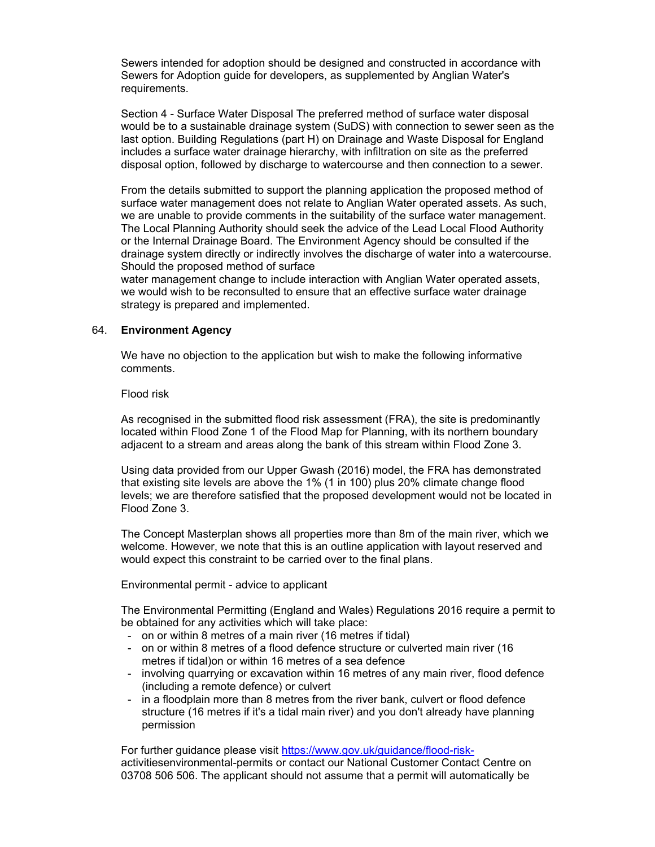Sewers intended for adoption should be designed and constructed in accordance with Sewers for Adoption guide for developers, as supplemented by Anglian Water's requirements.

Section 4 - Surface Water Disposal The preferred method of surface water disposal would be to a sustainable drainage system (SuDS) with connection to sewer seen as the last option. Building Regulations (part H) on Drainage and Waste Disposal for England includes a surface water drainage hierarchy, with infiltration on site as the preferred disposal option, followed by discharge to watercourse and then connection to a sewer.

From the details submitted to support the planning application the proposed method of surface water management does not relate to Anglian Water operated assets. As such, we are unable to provide comments in the suitability of the surface water management. The Local Planning Authority should seek the advice of the Lead Local Flood Authority or the Internal Drainage Board. The Environment Agency should be consulted if the drainage system directly or indirectly involves the discharge of water into a watercourse. Should the proposed method of surface

water management change to include interaction with Anglian Water operated assets, we would wish to be reconsulted to ensure that an effective surface water drainage strategy is prepared and implemented.

### 64. **Environment Agency**

We have no objection to the application but wish to make the following informative comments.

Flood risk

As recognised in the submitted flood risk assessment (FRA), the site is predominantly located within Flood Zone 1 of the Flood Map for Planning, with its northern boundary adjacent to a stream and areas along the bank of this stream within Flood Zone 3.

Using data provided from our Upper Gwash (2016) model, the FRA has demonstrated that existing site levels are above the 1% (1 in 100) plus 20% climate change flood levels; we are therefore satisfied that the proposed development would not be located in Flood Zone 3.

The Concept Masterplan shows all properties more than 8m of the main river, which we welcome. However, we note that this is an outline application with layout reserved and would expect this constraint to be carried over to the final plans.

Environmental permit - advice to applicant

The Environmental Permitting (England and Wales) Regulations 2016 require a permit to be obtained for any activities which will take place:

- on or within 8 metres of a main river (16 metres if tidal)
- on or within 8 metres of a flood defence structure or culverted main river (16 metres if tidal)on or within 16 metres of a sea defence
- involving quarrying or excavation within 16 metres of any main river, flood defence (including a remote defence) or culvert
- in a floodplain more than 8 metres from the river bank, culvert or flood defence structure (16 metres if it's a tidal main river) and you don't already have planning permission

For further guidance please visit https://www.gov.uk/guidance/flood-riskactivitiesenvironmental-permits or contact our National Customer Contact Centre on 03708 506 506. The applicant should not assume that a permit will automatically be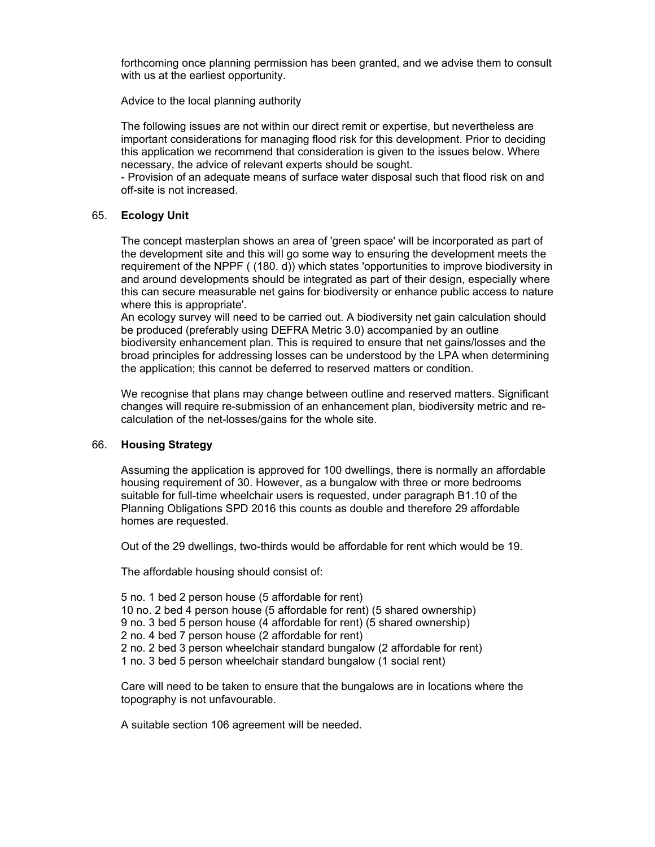forthcoming once planning permission has been granted, and we advise them to consult with us at the earliest opportunity.

Advice to the local planning authority

The following issues are not within our direct remit or expertise, but nevertheless are important considerations for managing flood risk for this development. Prior to deciding this application we recommend that consideration is given to the issues below. Where necessary, the advice of relevant experts should be sought.

- Provision of an adequate means of surface water disposal such that flood risk on and off-site is not increased.

#### 65. **Ecology Unit**

The concept masterplan shows an area of 'green space' will be incorporated as part of the development site and this will go some way to ensuring the development meets the requirement of the NPPF ( (180. d)) which states 'opportunities to improve biodiversity in and around developments should be integrated as part of their design, especially where this can secure measurable net gains for biodiversity or enhance public access to nature where this is appropriate'.

An ecology survey will need to be carried out. A biodiversity net gain calculation should be produced (preferably using DEFRA Metric 3.0) accompanied by an outline biodiversity enhancement plan. This is required to ensure that net gains/losses and the broad principles for addressing losses can be understood by the LPA when determining the application; this cannot be deferred to reserved matters or condition.

We recognise that plans may change between outline and reserved matters. Significant changes will require re-submission of an enhancement plan, biodiversity metric and recalculation of the net-losses/gains for the whole site.

### 66. **Housing Strategy**

Assuming the application is approved for 100 dwellings, there is normally an affordable housing requirement of 30. However, as a bungalow with three or more bedrooms suitable for full-time wheelchair users is requested, under paragraph B1.10 of the Planning Obligations SPD 2016 this counts as double and therefore 29 affordable homes are requested.

Out of the 29 dwellings, two-thirds would be affordable for rent which would be 19.

The affordable housing should consist of:

5 no. 1 bed 2 person house (5 affordable for rent) 10 no. 2 bed 4 person house (5 affordable for rent) (5 shared ownership) 9 no. 3 bed 5 person house (4 affordable for rent) (5 shared ownership) 2 no. 4 bed 7 person house (2 affordable for rent) 2 no. 2 bed 3 person wheelchair standard bungalow (2 affordable for rent) 1 no. 3 bed 5 person wheelchair standard bungalow (1 social rent)

Care will need to be taken to ensure that the bungalows are in locations where the topography is not unfavourable.

A suitable section 106 agreement will be needed.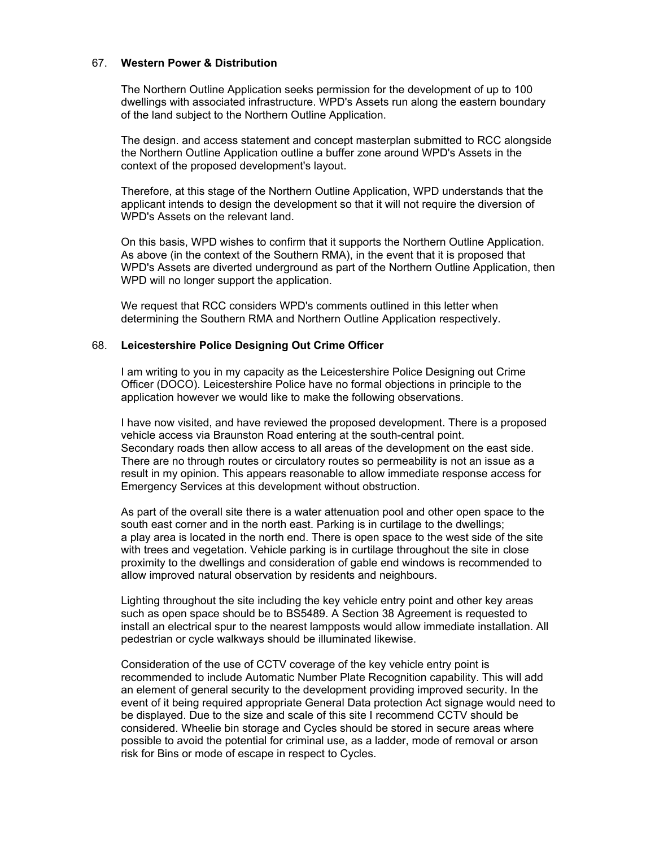#### 67. **Western Power & Distribution**

The Northern Outline Application seeks permission for the development of up to 100 dwellings with associated infrastructure. WPD's Assets run along the eastern boundary of the land subject to the Northern Outline Application.

The design. and access statement and concept masterplan submitted to RCC alongside the Northern Outline Application outline a buffer zone around WPD's Assets in the context of the proposed development's layout.

Therefore, at this stage of the Northern Outline Application, WPD understands that the applicant intends to design the development so that it will not require the diversion of WPD's Assets on the relevant land.

On this basis, WPD wishes to confirm that it supports the Northern Outline Application. As above (in the context of the Southern RMA), in the event that it is proposed that WPD's Assets are diverted underground as part of the Northern Outline Application, then WPD will no longer support the application.

We request that RCC considers WPD's comments outlined in this letter when determining the Southern RMA and Northern Outline Application respectively.

#### 68. **Leicestershire Police Designing Out Crime Officer**

I am writing to you in my capacity as the Leicestershire Police Designing out Crime Officer (DOCO). Leicestershire Police have no formal objections in principle to the application however we would like to make the following observations.

I have now visited, and have reviewed the proposed development. There is a proposed vehicle access via Braunston Road entering at the south-central point. Secondary roads then allow access to all areas of the development on the east side. There are no through routes or circulatory routes so permeability is not an issue as a result in my opinion. This appears reasonable to allow immediate response access for Emergency Services at this development without obstruction.

As part of the overall site there is a water attenuation pool and other open space to the south east corner and in the north east. Parking is in curtilage to the dwellings; a play area is located in the north end. There is open space to the west side of the site with trees and vegetation. Vehicle parking is in curtilage throughout the site in close proximity to the dwellings and consideration of gable end windows is recommended to allow improved natural observation by residents and neighbours.

Lighting throughout the site including the key vehicle entry point and other key areas such as open space should be to BS5489. A Section 38 Agreement is requested to install an electrical spur to the nearest lampposts would allow immediate installation. All pedestrian or cycle walkways should be illuminated likewise.

Consideration of the use of CCTV coverage of the key vehicle entry point is recommended to include Automatic Number Plate Recognition capability. This will add an element of general security to the development providing improved security. In the event of it being required appropriate General Data protection Act signage would need to be displayed. Due to the size and scale of this site I recommend CCTV should be considered. Wheelie bin storage and Cycles should be stored in secure areas where possible to avoid the potential for criminal use, as a ladder, mode of removal or arson risk for Bins or mode of escape in respect to Cycles.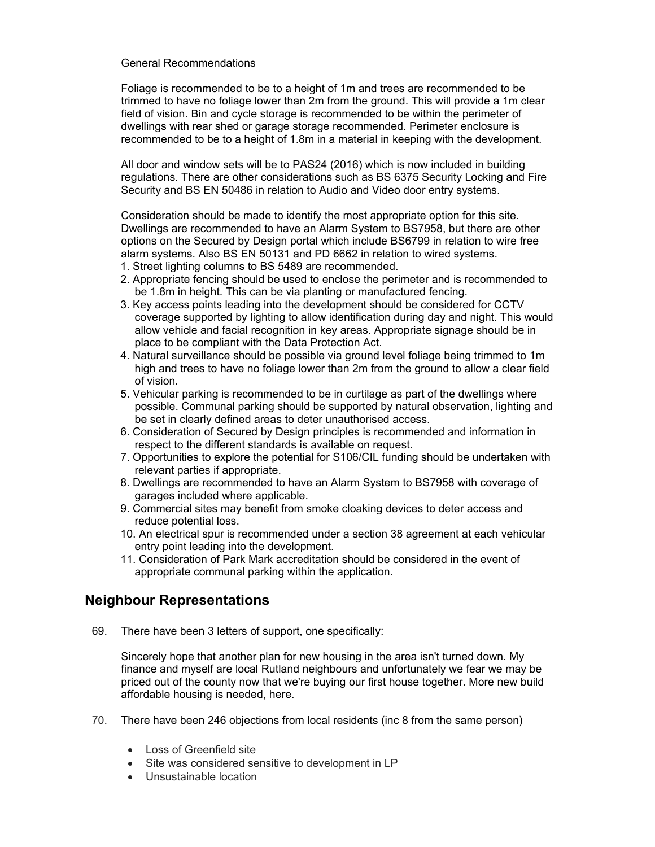#### General Recommendations

Foliage is recommended to be to a height of 1m and trees are recommended to be trimmed to have no foliage lower than 2m from the ground. This will provide a 1m clear field of vision. Bin and cycle storage is recommended to be within the perimeter of dwellings with rear shed or garage storage recommended. Perimeter enclosure is recommended to be to a height of 1.8m in a material in keeping with the development.

All door and window sets will be to PAS24 (2016) which is now included in building regulations. There are other considerations such as BS 6375 Security Locking and Fire Security and BS EN 50486 in relation to Audio and Video door entry systems.

Consideration should be made to identify the most appropriate option for this site. Dwellings are recommended to have an Alarm System to BS7958, but there are other options on the Secured by Design portal which include BS6799 in relation to wire free alarm systems. Also BS EN 50131 and PD 6662 in relation to wired systems.

- 1. Street lighting columns to BS 5489 are recommended.
- 2. Appropriate fencing should be used to enclose the perimeter and is recommended to be 1.8m in height. This can be via planting or manufactured fencing.
- 3. Key access points leading into the development should be considered for CCTV coverage supported by lighting to allow identification during day and night. This would allow vehicle and facial recognition in key areas. Appropriate signage should be in place to be compliant with the Data Protection Act.
- 4. Natural surveillance should be possible via ground level foliage being trimmed to 1m high and trees to have no foliage lower than 2m from the ground to allow a clear field of vision.
- 5. Vehicular parking is recommended to be in curtilage as part of the dwellings where possible. Communal parking should be supported by natural observation, lighting and be set in clearly defined areas to deter unauthorised access.
- 6. Consideration of Secured by Design principles is recommended and information in respect to the different standards is available on request.
- 7. Opportunities to explore the potential for S106/CIL funding should be undertaken with relevant parties if appropriate.
- 8. Dwellings are recommended to have an Alarm System to BS7958 with coverage of garages included where applicable.
- 9. Commercial sites may benefit from smoke cloaking devices to deter access and reduce potential loss.
- 10. An electrical spur is recommended under a section 38 agreement at each vehicular entry point leading into the development.
- 11. Consideration of Park Mark accreditation should be considered in the event of appropriate communal parking within the application.

# **Neighbour Representations**

69. There have been 3 letters of support, one specifically:

Sincerely hope that another plan for new housing in the area isn't turned down. My finance and myself are local Rutland neighbours and unfortunately we fear we may be priced out of the county now that we're buying our first house together. More new build affordable housing is needed, here.

- 70. There have been 246 objections from local residents (inc 8 from the same person)
	- Loss of Greenfield site
	- Site was considered sensitive to development in LP
	- Unsustainable location